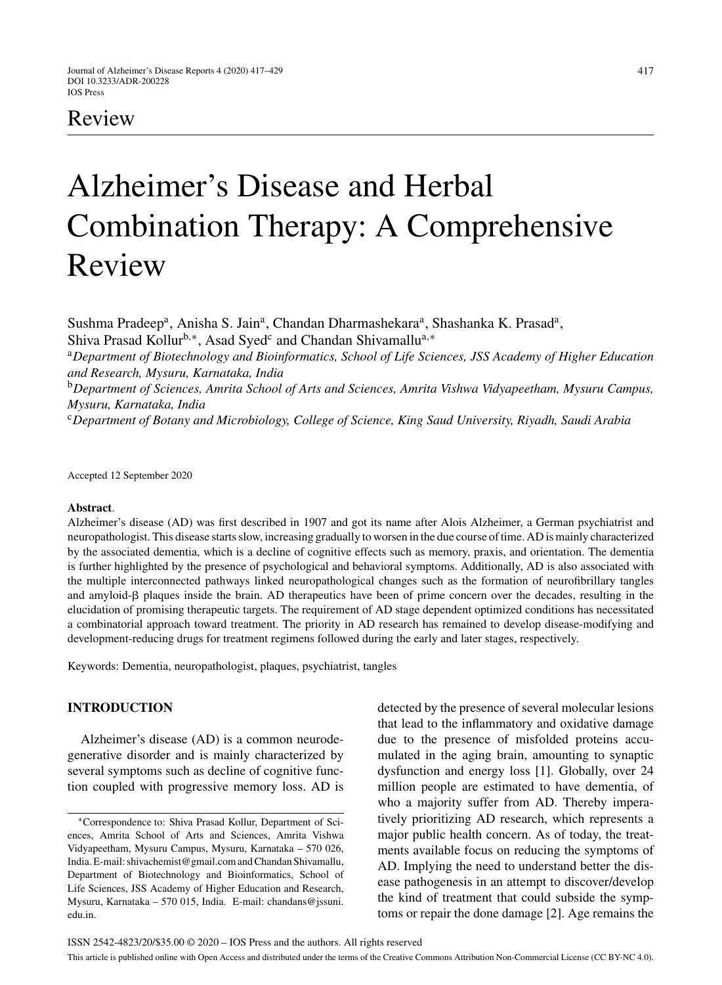# Review

# Alzheimer's Disease and Herbal Combination Therapy: A Comprehensive Review

Sushma Pradeep<sup>a</sup>, Anisha S. Jain<sup>a</sup>, Chandan Dharmashekara<sup>a</sup>, Shashanka K. Prasad<sup>a</sup>, Shiva Prasad Kollur<sup>b,∗</sup>, Asad Syed<sup>c</sup> and Chandan Shivamallu<sup>a,∗</sup>

<sup>a</sup>*Department of Biotechnology and Bioinformatics, School of Life Sciences, JSS Academy of Higher Education and Research, Mysuru, Karnataka, India*

<sup>b</sup>*Department of Sciences, Amrita School of Arts and Sciences, Amrita Vishwa Vidyapeetham, Mysuru Campus, Mysuru, Karnataka, India*

<sup>c</sup>*Department of Botany and Microbiology, College of Science, King Saud University, Riyadh, Saudi Arabia*

Accepted 12 September 2020

# **Abstract**.

Alzheimer's disease (AD) was first described in 1907 and got its name after Alois Alzheimer, a German psychiatrist and neuropathologist. This disease starts slow, increasing gradually to worsen in the due course of time. AD is mainly characterized by the associated dementia, which is a decline of cognitive effects such as memory, praxis, and orientation. The dementia is further highlighted by the presence of psychological and behavioral symptoms. Additionally, AD is also associated with the multiple interconnected pathways linked neuropathological changes such as the formation of neurofibrillary tangles and amyloid- $\beta$  plaques inside the brain. AD therapeutics have been of prime concern over the decades, resulting in the elucidation of promising therapeutic targets. The requirement of AD stage dependent optimized conditions has necessitated a combinatorial approach toward treatment. The priority in AD research has remained to develop disease-modifying and development-reducing drugs for treatment regimens followed during the early and later stages, respectively.

Keywords: Dementia, neuropathologist, plaques, psychiatrist, tangles

# **INTRODUCTION**

Alzheimer's disease (AD) is a common neurodegenerative disorder and is mainly characterized by several symptoms such as decline of cognitive function coupled with progressive memory loss. AD is detected by the presence of several molecular lesions that lead to the inflammatory and oxidative damage due to the presence of misfolded proteins accumulated in the aging brain, amounting to synaptic dysfunction and energy loss [1]. Globally, over 24 million people are estimated to have dementia, of who a majority suffer from AD. Thereby imperatively prioritizing AD research, which represents a major public health concern. As of today, the treatments available focus on reducing the symptoms of AD. Implying the need to understand better the disease pathogenesis in an attempt to discover/develop the kind of treatment that could subside the symptoms or repair the done damage [2]. Age remains the

<sup>∗</sup>Correspondence to: Shiva Prasad Kollur, Department of Sciences, Amrita School of Arts and Sciences, Amrita Vishwa Vidyapeetham, Mysuru Campus, Mysuru, Karnataka – 570 026, India. E-mail: [shivachemist@gmail.com](mailto:shivachemist@gmail.com) and Chandan Shivamallu, Department of Biotechnology and Bioinformatics, School of Life Sciences, JSS Academy of Higher Education and Research, Mysuru, Karnataka – 570 015, India. E-mail: [chandans@jssuni.](mailto:chandans@jssuni.{penalty -@M }edu.in) edu.in.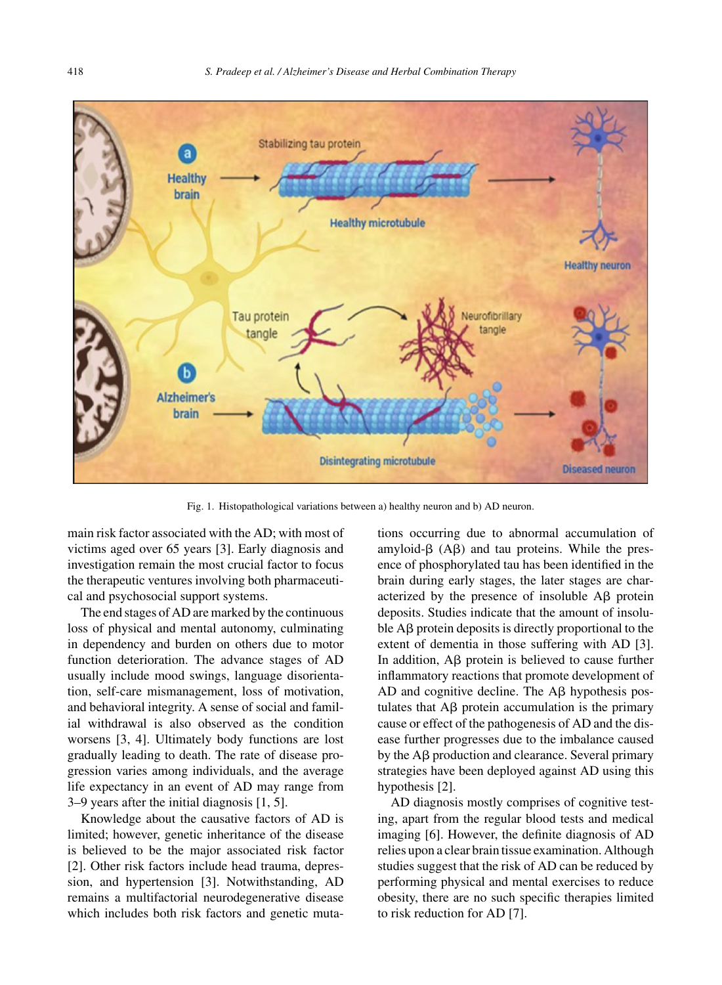

Fig. 1. Histopathological variations between a) healthy neuron and b) AD neuron.

main risk factor associated with the AD; with most of victims aged over 65 years [3]. Early diagnosis and investigation remain the most crucial factor to focus the therapeutic ventures involving both pharmaceutical and psychosocial support systems.

The end stages of AD are marked by the continuous loss of physical and mental autonomy, culminating in dependency and burden on others due to motor function deterioration. The advance stages of AD usually include mood swings, language disorientation, self-care mismanagement, loss of motivation, and behavioral integrity. A sense of social and familial withdrawal is also observed as the condition worsens [3, 4]. Ultimately body functions are lost gradually leading to death. The rate of disease progression varies among individuals, and the average life expectancy in an event of AD may range from 3–9 years after the initial diagnosis [1, 5].

Knowledge about the causative factors of AD is limited; however, genetic inheritance of the disease is believed to be the major associated risk factor [2]. Other risk factors include head trauma, depression, and hypertension [3]. Notwithstanding, AD remains a multifactorial neurodegenerative disease which includes both risk factors and genetic mutations occurring due to abnormal accumulation of amyloid- $\beta$  (A $\beta$ ) and tau proteins. While the presence of phosphorylated tau has been identified in the brain during early stages, the later stages are characterized by the presence of insoluble  $A\beta$  protein deposits. Studies indicate that the amount of insoluble  $\text{A}\beta$  protein deposits is directly proportional to the extent of dementia in those suffering with AD [3]. In addition,  $\overrightarrow{AB}$  protein is believed to cause further inflammatory reactions that promote development of  $AD$  and cognitive decline. The  $A\beta$  hypothesis postulates that  $\mathsf{A}\mathsf{B}$  protein accumulation is the primary cause or effect of the pathogenesis of AD and the disease further progresses due to the imbalance caused by the  $A\beta$  production and clearance. Several primary strategies have been deployed against AD using this hypothesis [2].

AD diagnosis mostly comprises of cognitive testing, apart from the regular blood tests and medical imaging [6]. However, the definite diagnosis of AD relies upon a clear brain tissue examination. Although studies suggest that the risk of AD can be reduced by performing physical and mental exercises to reduce obesity, there are no such specific therapies limited to risk reduction for AD [7].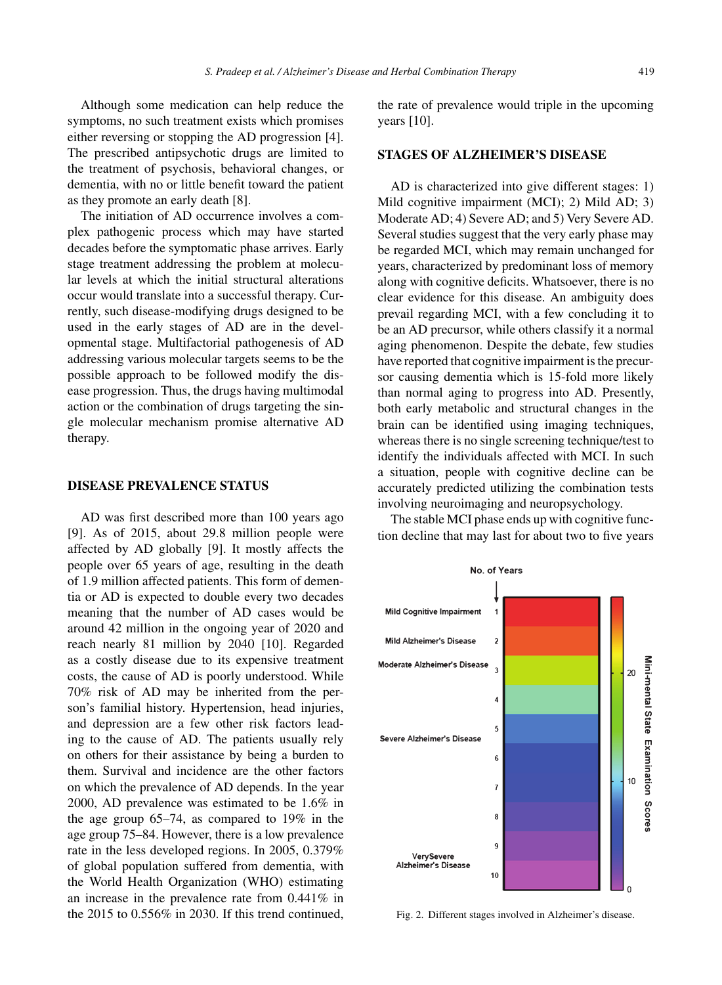Although some medication can help reduce the symptoms, no such treatment exists which promises either reversing or stopping the AD progression [4]. The prescribed antipsychotic drugs are limited to the treatment of psychosis, behavioral changes, or dementia, with no or little benefit toward the patient as they promote an early death [8].

The initiation of AD occurrence involves a complex pathogenic process which may have started decades before the symptomatic phase arrives. Early stage treatment addressing the problem at molecular levels at which the initial structural alterations occur would translate into a successful therapy. Currently, such disease-modifying drugs designed to be used in the early stages of AD are in the developmental stage. Multifactorial pathogenesis of AD addressing various molecular targets seems to be the possible approach to be followed modify the disease progression. Thus, the drugs having multimodal action or the combination of drugs targeting the single molecular mechanism promise alternative AD therapy.

#### **DISEASE PREVALENCE STATUS**

AD was first described more than 100 years ago [9]. As of 2015, about 29.8 million people were affected by AD globally [9]. It mostly affects the people over 65 years of age, resulting in the death of 1.9 million affected patients. This form of dementia or AD is expected to double every two decades meaning that the number of AD cases would be around 42 million in the ongoing year of 2020 and reach nearly 81 million by 2040 [10]. Regarded as a costly disease due to its expensive treatment costs, the cause of AD is poorly understood. While 70% risk of AD may be inherited from the person's familial history. Hypertension, head injuries, and depression are a few other risk factors leading to the cause of AD. The patients usually rely on others for their assistance by being a burden to them. Survival and incidence are the other factors on which the prevalence of AD depends. In the year 2000, AD prevalence was estimated to be 1.6% in the age group 65–74, as compared to 19% in the age group 75–84. However, there is a low prevalence rate in the less developed regions. In 2005, 0.379% of global population suffered from dementia, with the World Health Organization (WHO) estimating an increase in the prevalence rate from 0.441% in the 2015 to 0.556% in 2030. If this trend continued,

the rate of prevalence would triple in the upcoming years [10].

#### **STAGES OF ALZHEIMER'S DISEASE**

AD is characterized into give different stages: 1) Mild cognitive impairment (MCI); 2) Mild AD; 3) Moderate AD; 4) Severe AD; and 5) Very Severe AD. Several studies suggest that the very early phase may be regarded MCI, which may remain unchanged for years, characterized by predominant loss of memory along with cognitive deficits. Whatsoever, there is no clear evidence for this disease. An ambiguity does prevail regarding MCI, with a few concluding it to be an AD precursor, while others classify it a normal aging phenomenon. Despite the debate, few studies have reported that cognitive impairment is the precursor causing dementia which is 15-fold more likely than normal aging to progress into AD. Presently, both early metabolic and structural changes in the brain can be identified using imaging techniques, whereas there is no single screening technique/test to identify the individuals affected with MCI. In such a situation, people with cognitive decline can be accurately predicted utilizing the combination tests involving neuroimaging and neuropsychology.

The stable MCI phase ends up with cognitive function decline that may last for about two to five years



Fig. 2. Different stages involved in Alzheimer's disease.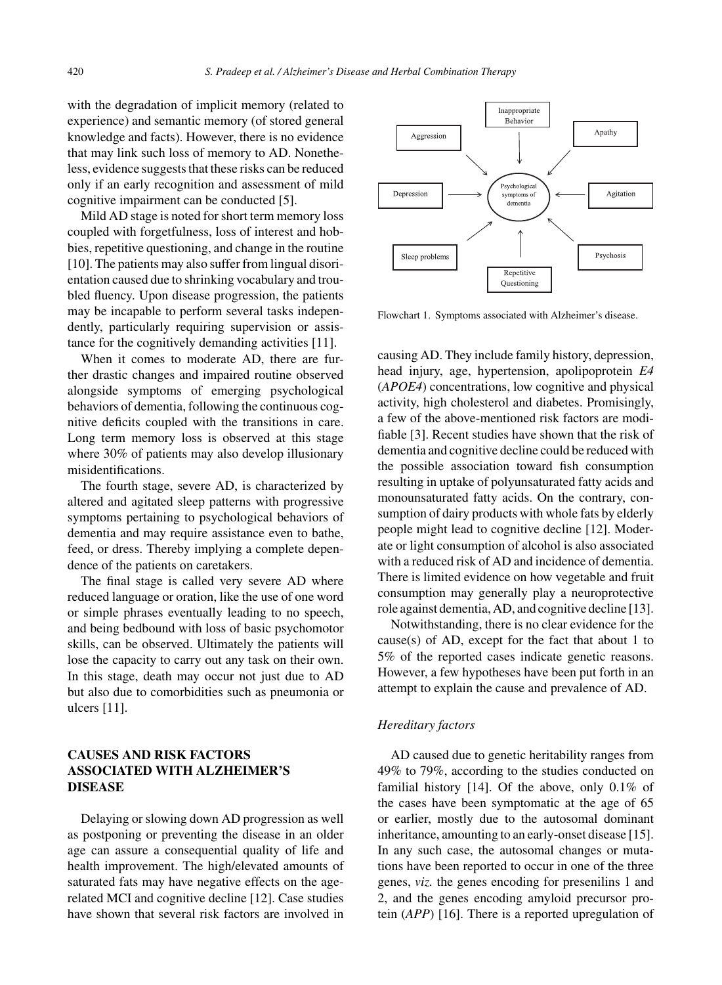with the degradation of implicit memory (related to experience) and semantic memory (of stored general knowledge and facts). However, there is no evidence that may link such loss of memory to AD. Nonetheless, evidence suggests that these risks can be reduced only if an early recognition and assessment of mild cognitive impairment can be conducted [5].

Mild AD stage is noted for short term memory loss coupled with forgetfulness, loss of interest and hobbies, repetitive questioning, and change in the routine [10]. The patients may also suffer from lingual disorientation caused due to shrinking vocabulary and troubled fluency. Upon disease progression, the patients may be incapable to perform several tasks independently, particularly requiring supervision or assistance for the cognitively demanding activities [11].

When it comes to moderate AD, there are further drastic changes and impaired routine observed alongside symptoms of emerging psychological behaviors of dementia, following the continuous cognitive deficits coupled with the transitions in care. Long term memory loss is observed at this stage where 30% of patients may also develop illusionary misidentifications.

The fourth stage, severe AD, is characterized by altered and agitated sleep patterns with progressive symptoms pertaining to psychological behaviors of dementia and may require assistance even to bathe, feed, or dress. Thereby implying a complete dependence of the patients on caretakers.

The final stage is called very severe AD where reduced language or oration, like the use of one word or simple phrases eventually leading to no speech, and being bedbound with loss of basic psychomotor skills, can be observed. Ultimately the patients will lose the capacity to carry out any task on their own. In this stage, death may occur not just due to AD but also due to comorbidities such as pneumonia or ulcers [11].

# **CAUSES AND RISK FACTORS ASSOCIATED WITH ALZHEIMER'S DISEASE**

Delaying or slowing down AD progression as well as postponing or preventing the disease in an older age can assure a consequential quality of life and health improvement. The high/elevated amounts of saturated fats may have negative effects on the agerelated MCI and cognitive decline [12]. Case studies have shown that several risk factors are involved in



Flowchart 1. Symptoms associated with Alzheimer's disease.

causing AD. They include family history, depression, head injury, age, hypertension, apolipoprotein *E4* (*APOE4*) concentrations, low cognitive and physical activity, high cholesterol and diabetes. Promisingly, a few of the above-mentioned risk factors are modifiable [3]. Recent studies have shown that the risk of dementia and cognitive decline could be reduced with the possible association toward fish consumption resulting in uptake of polyunsaturated fatty acids and monounsaturated fatty acids. On the contrary, consumption of dairy products with whole fats by elderly people might lead to cognitive decline [12]. Moderate or light consumption of alcohol is also associated with a reduced risk of AD and incidence of dementia. There is limited evidence on how vegetable and fruit consumption may generally play a neuroprotective role against dementia, AD, and cognitive decline [13].

Notwithstanding, there is no clear evidence for the cause(s) of AD, except for the fact that about 1 to 5% of the reported cases indicate genetic reasons. However, a few hypotheses have been put forth in an attempt to explain the cause and prevalence of AD.

#### *Hereditary factors*

AD caused due to genetic heritability ranges from 49% to 79%, according to the studies conducted on familial history [14]. Of the above, only 0.1% of the cases have been symptomatic at the age of 65 or earlier, mostly due to the autosomal dominant inheritance, amounting to an early-onset disease [15]. In any such case, the autosomal changes or mutations have been reported to occur in one of the three genes, *viz.* the genes encoding for presenilins 1 and 2, and the genes encoding amyloid precursor protein (*APP*) [16]. There is a reported upregulation of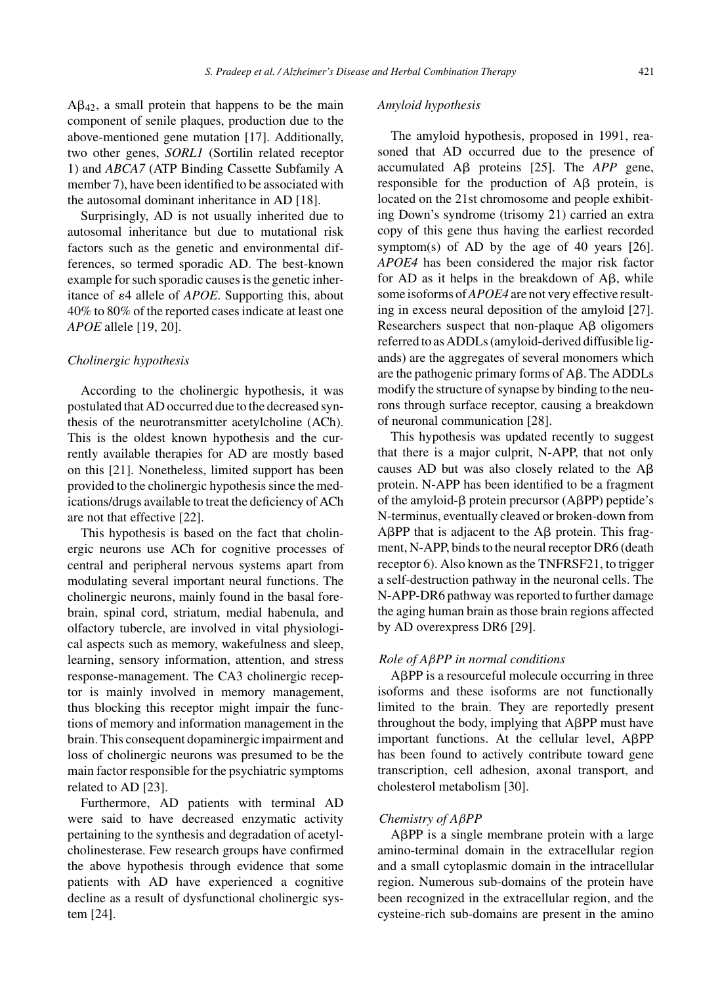$A\beta_{42}$ , a small protein that happens to be the main component of senile plaques, production due to the above-mentioned gene mutation [17]. Additionally, two other genes, *SORL1* (Sortilin related receptor 1) and *ABCA7* (ATP Binding Cassette Subfamily A member 7), have been identified to be associated with the autosomal dominant inheritance in AD [18].

Surprisingly, AD is not usually inherited due to autosomal inheritance but due to mutational risk factors such as the genetic and environmental differences, so termed sporadic AD. The best-known example for such sporadic causes is the genetic inheritance of  $\varepsilon$ 4 allele of *APOE*. Supporting this, about 40% to 80% of the reported cases indicate at least one *APOE* allele [19, 20].

#### *Cholinergic hypothesis*

According to the cholinergic hypothesis, it was postulated that AD occurred due to the decreased synthesis of the neurotransmitter acetylcholine (ACh). This is the oldest known hypothesis and the currently available therapies for AD are mostly based on this [21]. Nonetheless, limited support has been provided to the cholinergic hypothesis since the medications/drugs available to treat the deficiency of ACh are not that effective [22].

This hypothesis is based on the fact that cholinergic neurons use ACh for cognitive processes of central and peripheral nervous systems apart from modulating several important neural functions. The cholinergic neurons, mainly found in the basal forebrain, spinal cord, striatum, medial habenula, and olfactory tubercle, are involved in vital physiological aspects such as memory, wakefulness and sleep, learning, sensory information, attention, and stress response-management. The CA3 cholinergic receptor is mainly involved in memory management, thus blocking this receptor might impair the functions of memory and information management in the brain. This consequent dopaminergic impairment and loss of cholinergic neurons was presumed to be the main factor responsible for the psychiatric symptoms related to AD [23].

Furthermore, AD patients with terminal AD were said to have decreased enzymatic activity pertaining to the synthesis and degradation of acetylcholinesterase. Few research groups have confirmed the above hypothesis through evidence that some patients with AD have experienced a cognitive decline as a result of dysfunctional cholinergic system [24].

#### *Amyloid hypothesis*

The amyloid hypothesis, proposed in 1991, reasoned that AD occurred due to the presence of accumulated  $\overrightarrow{AB}$  proteins [25]. The *APP* gene, responsible for the production of  $\overrightarrow{AB}$  protein, is located on the 21st chromosome and people exhibiting Down's syndrome (trisomy 21) carried an extra copy of this gene thus having the earliest recorded symptom(s) of AD by the age of 40 years  $[26]$ . *APOE4* has been considered the major risk factor for AD as it helps in the breakdown of  $A\beta$ , while some isoforms of*APOE4* are not very effective resulting in excess neural deposition of the amyloid [27]. Researchers suspect that non-plaque  $\overrightarrow{AB}$  oligomers referred to as ADDLs (amyloid-derived diffusible ligands) are the aggregates of several monomers which are the pathogenic primary forms of  $A\beta$ . The ADDLs modify the structure of synapse by binding to the neurons through surface receptor, causing a breakdown of neuronal communication [28].

This hypothesis was updated recently to suggest that there is a major culprit, N-APP, that not only causes AD but was also closely related to the  $A\beta$ protein. N-APP has been identified to be a fragment of the amyloid- $\beta$  protein precursor (A $\beta$ PP) peptide's N-terminus, eventually cleaved or broken-down from  $A\beta PP$  that is adjacent to the  $A\beta$  protein. This fragment, N-APP, binds to the neural receptor DR6 (death receptor 6). Also known as the TNFRSF21, to trigger a self-destruction pathway in the neuronal cells. The N-APP-DR6 pathway was reported to further damage the aging human brain as those brain regions affected by AD overexpress DR6 [29].

#### *Role of A*β*PP in normal conditions*

ABPP is a resourceful molecule occurring in three isoforms and these isoforms are not functionally limited to the brain. They are reportedly present throughout the body, implying that  $A\beta PP$  must have important functions. At the cellular level, ABPP has been found to actively contribute toward gene transcription, cell adhesion, axonal transport, and cholesterol metabolism [30].

#### *Chemistry of A*β*PP*

ABPP is a single membrane protein with a large amino-terminal domain in the extracellular region and a small cytoplasmic domain in the intracellular region. Numerous sub-domains of the protein have been recognized in the extracellular region, and the cysteine-rich sub-domains are present in the amino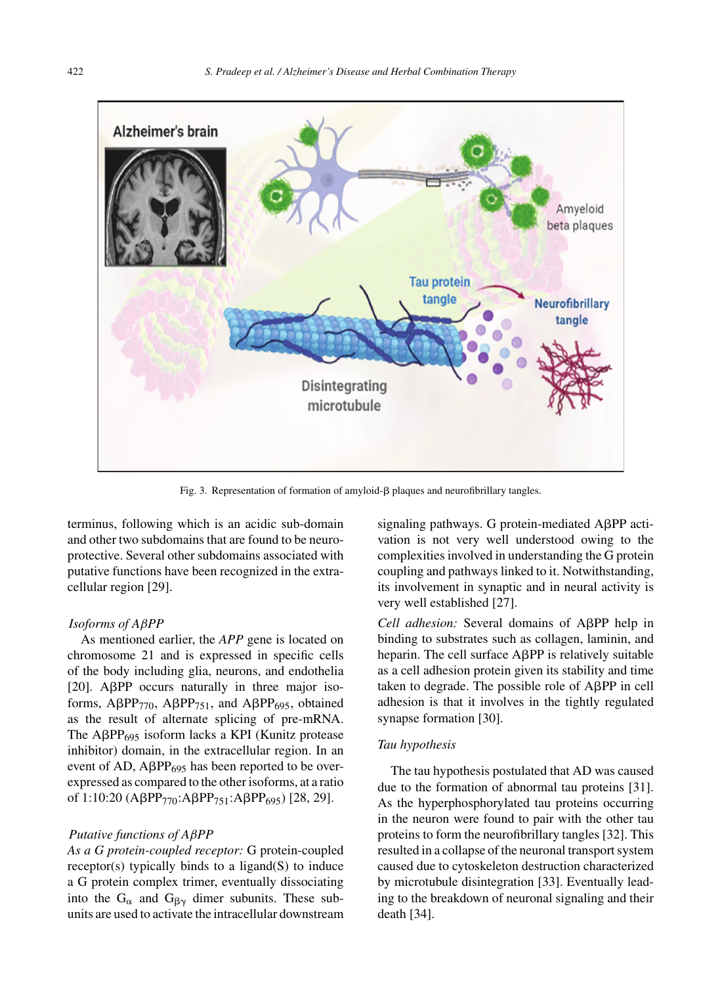

Fig. 3. Representation of formation of amyloid- $\beta$  plaques and neurofibrillary tangles.

terminus, following which is an acidic sub-domain and other two subdomains that are found to be neuroprotective. Several other subdomains associated with putative functions have been recognized in the extracellular region [29].

#### *Isoforms of A*β*PP*

As mentioned earlier, the *APP* gene is located on chromosome 21 and is expressed in specific cells of the body including glia, neurons, and endothelia [ $20$ ]. A $\beta$ PP occurs naturally in three major isoforms,  $\text{A}\beta \text{PP}_{770}$ ,  $\text{A}\beta \text{PP}_{751}$ , and  $\text{A}\beta \text{PP}_{695}$ , obtained as the result of alternate splicing of pre-mRNA. The AβPP<sub>695</sub> isoform lacks a KPI (Kunitz protease inhibitor) domain, in the extracellular region. In an event of AD,  $\text{A}\beta\text{PP}_{695}$  has been reported to be overexpressed as compared to the other isoforms, at a ratio of 1:10:20 (AβPP<sub>770</sub>:AβPP<sub>751</sub>:AβPP<sub>695</sub>) [28, 29].

#### *Putative functions of A*β*PP*

*As a G protein-coupled receptor:* G protein-coupled receptor(s) typically binds to a ligand(S) to induce a G protein complex trimer, eventually dissociating into the G<sub> $\alpha$ </sub> and G<sub> $\beta\gamma$ </sub> dimer subunits. These subunits are used to activate the intracellular downstream

signaling pathways. G protein-mediated  $A\beta PP$  activation is not very well understood owing to the complexities involved in understanding the G protein coupling and pathways linked to it. Notwithstanding, its involvement in synaptic and in neural activity is very well established [27].

Cell adhesion: Several domains of AβPP help in binding to substrates such as collagen, laminin, and heparin. The cell surface  $A\beta PP$  is relatively suitable as a cell adhesion protein given its stability and time taken to degrade. The possible role of  $A\beta PP$  in cell adhesion is that it involves in the tightly regulated synapse formation [30].

#### *Tau hypothesis*

The tau hypothesis postulated that AD was caused due to the formation of abnormal tau proteins [31]. As the hyperphosphorylated tau proteins occurring in the neuron were found to pair with the other tau proteins to form the neurofibrillary tangles [32]. This resulted in a collapse of the neuronal transport system caused due to cytoskeleton destruction characterized by microtubule disintegration [33]. Eventually leading to the breakdown of neuronal signaling and their death [34].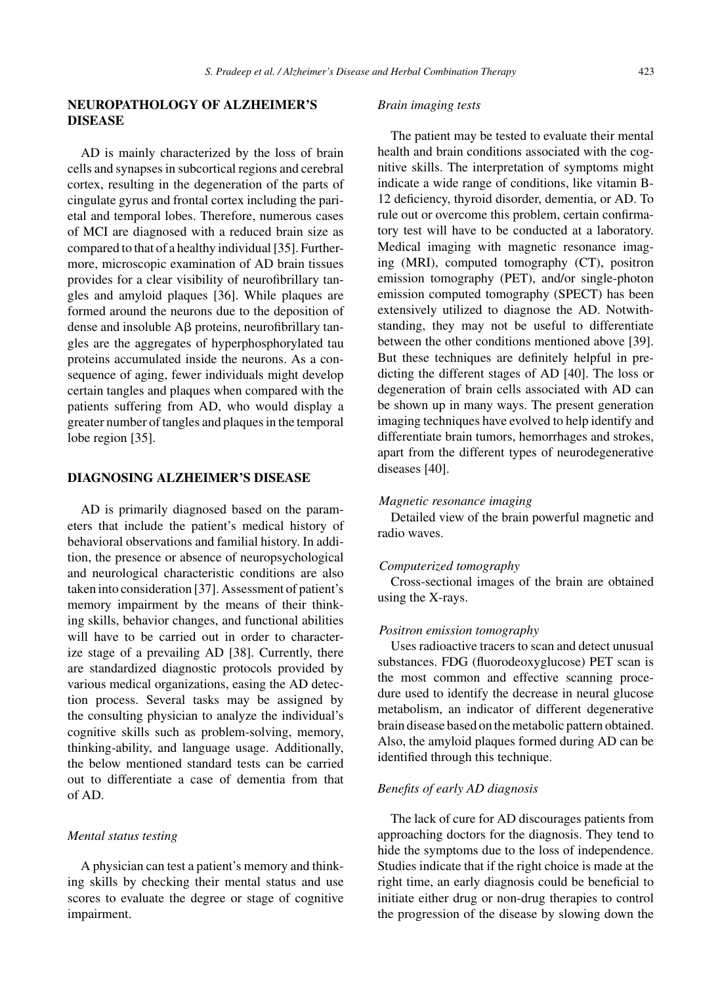# **NEUROPATHOLOGY OF ALZHEIMER'S DISEASE**

AD is mainly characterized by the loss of brain cells and synapses in subcortical regions and cerebral cortex, resulting in the degeneration of the parts of cingulate gyrus and frontal cortex including the parietal and temporal lobes. Therefore, numerous cases of MCI are diagnosed with a reduced brain size as compared to that of a healthy individual [35]. Furthermore, microscopic examination of AD brain tissues provides for a clear visibility of neurofibrillary tangles and amyloid plaques [36]. While plaques are formed around the neurons due to the deposition of dense and insoluble  $\mathsf{A}\beta$  proteins, neurofibrillary tangles are the aggregates of hyperphosphorylated tau proteins accumulated inside the neurons. As a consequence of aging, fewer individuals might develop certain tangles and plaques when compared with the patients suffering from AD, who would display a greater number of tangles and plaques in the temporal lobe region [35].

# **DIAGNOSING ALZHEIMER'S DISEASE**

AD is primarily diagnosed based on the parameters that include the patient's medical history of behavioral observations and familial history. In addition, the presence or absence of neuropsychological and neurological characteristic conditions are also taken into consideration [37]. Assessment of patient's memory impairment by the means of their thinking skills, behavior changes, and functional abilities will have to be carried out in order to characterize stage of a prevailing AD [38]. Currently, there are standardized diagnostic protocols provided by various medical organizations, easing the AD detection process. Several tasks may be assigned by the consulting physician to analyze the individual's cognitive skills such as problem-solving, memory, thinking-ability, and language usage. Additionally, the below mentioned standard tests can be carried out to differentiate a case of dementia from that of AD.

#### *Mental status testing*

A physician can test a patient's memory and thinking skills by checking their mental status and use scores to evaluate the degree or stage of cognitive impairment.

#### *Brain imaging tests*

The patient may be tested to evaluate their mental health and brain conditions associated with the cognitive skills. The interpretation of symptoms might indicate a wide range of conditions, like vitamin B-12 deficiency, thyroid disorder, dementia, or AD. To rule out or overcome this problem, certain confirmatory test will have to be conducted at a laboratory. Medical imaging with magnetic resonance imaging (MRI), computed tomography (CT), positron emission tomography (PET), and/or single-photon emission computed tomography (SPECT) has been extensively utilized to diagnose the AD. Notwithstanding, they may not be useful to differentiate between the other conditions mentioned above [39]. But these techniques are definitely helpful in predicting the different stages of AD [40]. The loss or degeneration of brain cells associated with AD can be shown up in many ways. The present generation imaging techniques have evolved to help identify and differentiate brain tumors, hemorrhages and strokes, apart from the different types of neurodegenerative diseases [40].

# *Magnetic resonance imaging*

Detailed view of the brain powerful magnetic and radio waves.

#### *Computerized tomography*

Cross-sectional images of the brain are obtained using the X-rays.

#### *Positron emission tomography*

Uses radioactive tracers to scan and detect unusual substances. FDG (fluorodeoxyglucose) PET scan is the most common and effective scanning procedure used to identify the decrease in neural glucose metabolism, an indicator of different degenerative brain disease based on the metabolic pattern obtained. Also, the amyloid plaques formed during AD can be identified through this technique.

# *Benefits of early AD diagnosis*

The lack of cure for AD discourages patients from approaching doctors for the diagnosis. They tend to hide the symptoms due to the loss of independence. Studies indicate that if the right choice is made at the right time, an early diagnosis could be beneficial to initiate either drug or non-drug therapies to control the progression of the disease by slowing down the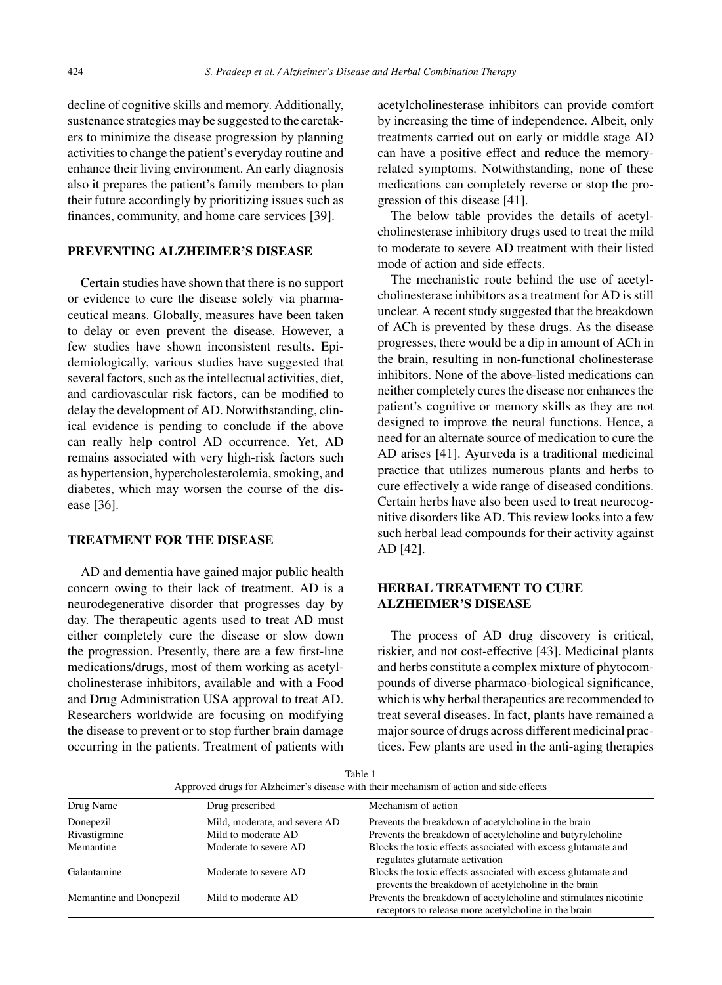decline of cognitive skills and memory. Additionally, sustenance strategies may be suggested to the caretakers to minimize the disease progression by planning activities to change the patient's everyday routine and enhance their living environment. An early diagnosis also it prepares the patient's family members to plan their future accordingly by prioritizing issues such as finances, community, and home care services [39].

# **PREVENTING ALZHEIMER'S DISEASE**

Certain studies have shown that there is no support or evidence to cure the disease solely via pharmaceutical means. Globally, measures have been taken to delay or even prevent the disease. However, a few studies have shown inconsistent results. Epidemiologically, various studies have suggested that several factors, such as the intellectual activities, diet, and cardiovascular risk factors, can be modified to delay the development of AD. Notwithstanding, clinical evidence is pending to conclude if the above can really help control AD occurrence. Yet, AD remains associated with very high-risk factors such as hypertension, hypercholesterolemia, smoking, and diabetes, which may worsen the course of the disease [36].

# **TREATMENT FOR THE DISEASE**

AD and dementia have gained major public health concern owing to their lack of treatment. AD is a neurodegenerative disorder that progresses day by day. The therapeutic agents used to treat AD must either completely cure the disease or slow down the progression. Presently, there are a few first-line medications/drugs, most of them working as acetylcholinesterase inhibitors, available and with a Food and Drug Administration USA approval to treat AD. Researchers worldwide are focusing on modifying the disease to prevent or to stop further brain damage occurring in the patients. Treatment of patients with

acetylcholinesterase inhibitors can provide comfort by increasing the time of independence. Albeit, only treatments carried out on early or middle stage AD can have a positive effect and reduce the memoryrelated symptoms. Notwithstanding, none of these medications can completely reverse or stop the progression of this disease [41].

The below table provides the details of acetylcholinesterase inhibitory drugs used to treat the mild to moderate to severe AD treatment with their listed mode of action and side effects.

The mechanistic route behind the use of acetylcholinesterase inhibitors as a treatment for AD is still unclear. A recent study suggested that the breakdown of ACh is prevented by these drugs. As the disease progresses, there would be a dip in amount of ACh in the brain, resulting in non-functional cholinesterase inhibitors. None of the above-listed medications can neither completely cures the disease nor enhances the patient's cognitive or memory skills as they are not designed to improve the neural functions. Hence, a need for an alternate source of medication to cure the AD arises [41]. Ayurveda is a traditional medicinal practice that utilizes numerous plants and herbs to cure effectively a wide range of diseased conditions. Certain herbs have also been used to treat neurocognitive disorders like AD. This review looks into a few such herbal lead compounds for their activity against AD [42].

# **HERBAL TREATMENT TO CURE ALZHEIMER'S DISEASE**

The process of AD drug discovery is critical, riskier, and not cost-effective [43]. Medicinal plants and herbs constitute a complex mixture of phytocompounds of diverse pharmaco-biological significance, which is why herbal therapeutics are recommended to treat several diseases. In fact, plants have remained a major source of drugs across different medicinal practices. Few plants are used in the anti-aging therapies

| Approved drugs for Alzhemier's disease while their intenanism of action and side encels |                               |                                                                                                                          |
|-----------------------------------------------------------------------------------------|-------------------------------|--------------------------------------------------------------------------------------------------------------------------|
| Drug Name                                                                               | Drug prescribed               | Mechanism of action                                                                                                      |
| Donepezil                                                                               | Mild, moderate, and severe AD | Prevents the breakdown of acetylcholine in the brain                                                                     |
| Rivastigmine                                                                            | Mild to moderate AD           | Prevents the breakdown of acetylcholine and butyrylcholine                                                               |
| Memantine                                                                               | Moderate to severe AD         | Blocks the toxic effects associated with excess glutamate and<br>regulates glutamate activation                          |
| Galantamine                                                                             | Moderate to severe AD         | Blocks the toxic effects associated with excess glutamate and<br>prevents the breakdown of acetylcholine in the brain    |
| Memantine and Donepezil                                                                 | Mild to moderate AD           | Prevents the breakdown of acetylcholine and stimulates nicotinic<br>receptors to release more acetylcholine in the brain |

Table 1 Approved drugs for Alzheimer's disease with their mechanism of action and side effects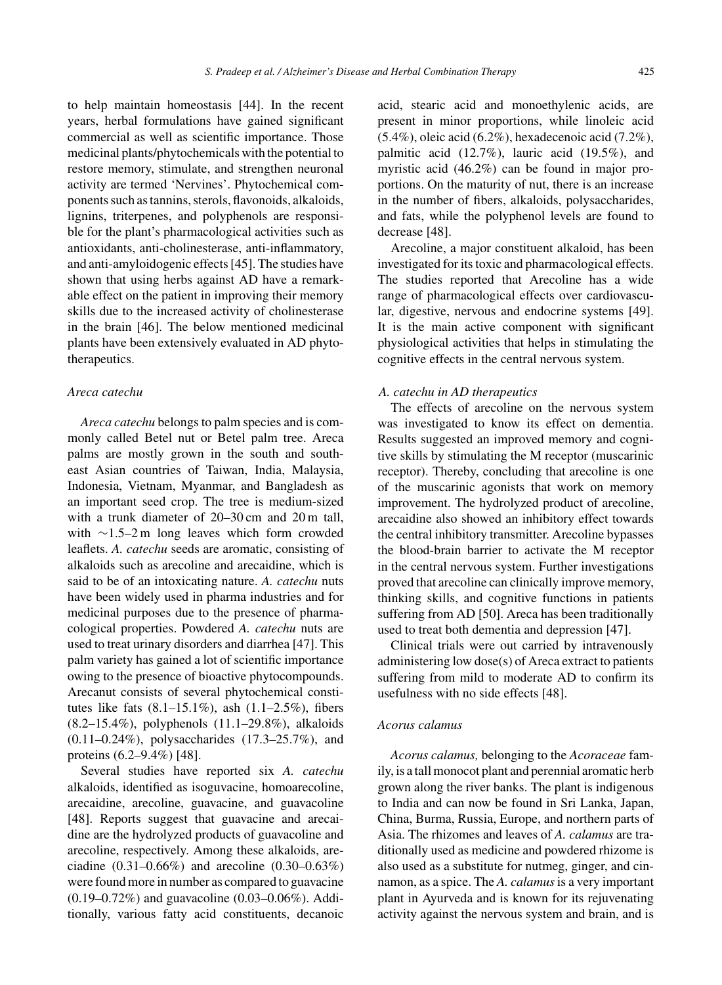to help maintain homeostasis [44]. In the recent years, herbal formulations have gained significant commercial as well as scientific importance. Those medicinal plants/phytochemicals with the potential to restore memory, stimulate, and strengthen neuronal activity are termed 'Nervines'. Phytochemical components such as tannins, sterols, flavonoids, alkaloids, lignins, triterpenes, and polyphenols are responsible for the plant's pharmacological activities such as antioxidants, anti-cholinesterase, anti-inflammatory, and anti-amyloidogenic effects [45]. The studies have shown that using herbs against AD have a remarkable effect on the patient in improving their memory skills due to the increased activity of cholinesterase in the brain [46]. The below mentioned medicinal plants have been extensively evaluated in AD phytotherapeutics.

# *Areca catechu*

*Areca catechu* belongs to palm species and is commonly called Betel nut or Betel palm tree. Areca palms are mostly grown in the south and southeast Asian countries of Taiwan, India, Malaysia, Indonesia, Vietnam, Myanmar, and Bangladesh as an important seed crop. The tree is medium-sized with a trunk diameter of 20–30 cm and 20 m tall, with ∼1.5–2 m long leaves which form crowded leaflets. *A. catechu* seeds are aromatic, consisting of alkaloids such as arecoline and arecaidine, which is said to be of an intoxicating nature. *A. catechu* nuts have been widely used in pharma industries and for medicinal purposes due to the presence of pharmacological properties. Powdered *A. catechu* nuts are used to treat urinary disorders and diarrhea [47]. This palm variety has gained a lot of scientific importance owing to the presence of bioactive phytocompounds. Arecanut consists of several phytochemical constitutes like fats  $(8.1 - 15.1\%)$ , ash  $(1.1 - 2.5\%)$ , fibers (8.2–15.4%), polyphenols (11.1–29.8%), alkaloids (0.11–0.24%), polysaccharides (17.3–25.7%), and proteins (6.2–9.4%) [48].

Several studies have reported six *A. catechu* alkaloids, identified as isoguvacine, homoarecoline, arecaidine, arecoline, guavacine, and guavacoline [48]. Reports suggest that guavacine and arecaidine are the hydrolyzed products of guavacoline and arecoline, respectively. Among these alkaloids, areciadine (0.31–0.66%) and arecoline (0.30–0.63%) were found more in number as compared to guavacine (0.19–0.72%) and guavacoline (0.03–0.06%). Additionally, various fatty acid constituents, decanoic

acid, stearic acid and monoethylenic acids, are present in minor proportions, while linoleic acid (5.4%), oleic acid (6.2%), hexadecenoic acid (7.2%), palmitic acid (12.7%), lauric acid (19.5%), and myristic acid (46.2%) can be found in major proportions. On the maturity of nut, there is an increase in the number of fibers, alkaloids, polysaccharides, and fats, while the polyphenol levels are found to decrease [48].

Arecoline, a major constituent alkaloid, has been investigated for its toxic and pharmacological effects. The studies reported that Arecoline has a wide range of pharmacological effects over cardiovascular, digestive, nervous and endocrine systems [49]. It is the main active component with significant physiological activities that helps in stimulating the cognitive effects in the central nervous system.

# *A. catechu in AD therapeutics*

The effects of arecoline on the nervous system was investigated to know its effect on dementia. Results suggested an improved memory and cognitive skills by stimulating the M receptor (muscarinic receptor). Thereby, concluding that arecoline is one of the muscarinic agonists that work on memory improvement. The hydrolyzed product of arecoline, arecaidine also showed an inhibitory effect towards the central inhibitory transmitter. Arecoline bypasses the blood-brain barrier to activate the M receptor in the central nervous system. Further investigations proved that arecoline can clinically improve memory, thinking skills, and cognitive functions in patients suffering from AD [50]. Areca has been traditionally used to treat both dementia and depression [47].

Clinical trials were out carried by intravenously administering low dose(s) of Areca extract to patients suffering from mild to moderate AD to confirm its usefulness with no side effects [48].

#### *Acorus calamus*

*Acorus calamus,* belonging to the *Acoraceae* family, is a tall monocot plant and perennial aromatic herb grown along the river banks. The plant is indigenous to India and can now be found in Sri Lanka, Japan, China, Burma, Russia, Europe, and northern parts of Asia. The rhizomes and leaves of *A. calamus* are traditionally used as medicine and powdered rhizome is also used as a substitute for nutmeg, ginger, and cinnamon, as a spice. The *A. calamus*is a very important plant in Ayurveda and is known for its rejuvenating activity against the nervous system and brain, and is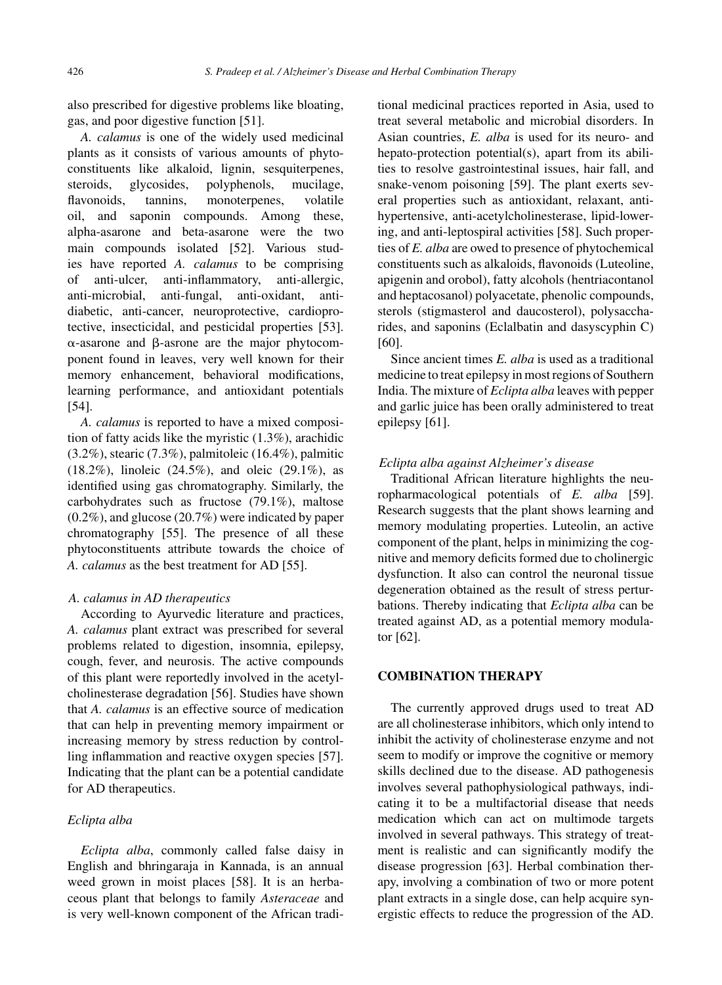also prescribed for digestive problems like bloating, gas, and poor digestive function [51].

*A. calamus* is one of the widely used medicinal plants as it consists of various amounts of phytoconstituents like alkaloid, lignin, sesquiterpenes, steroids, glycosides, polyphenols, mucilage, flavonoids, tannins, monoterpenes, volatile oil, and saponin compounds. Among these, alpha-asarone and beta-asarone were the two main compounds isolated [52]. Various studies have reported *A. calamus* to be comprising of anti-ulcer, anti-inflammatory, anti-allergic, anti-microbial, anti-fungal, anti-oxidant, antidiabetic, anti-cancer, neuroprotective, cardioprotective, insecticidal, and pesticidal properties [53].  $\alpha$ -asarone and  $\beta$ -asrone are the major phytocomponent found in leaves, very well known for their memory enhancement, behavioral modifications, learning performance, and antioxidant potentials [54].

*A. calamus* is reported to have a mixed composition of fatty acids like the myristic (1.3%), arachidic (3.2%), stearic (7.3%), palmitoleic (16.4%), palmitic (18.2%), linoleic (24.5%), and oleic (29.1%), as identified using gas chromatography. Similarly, the carbohydrates such as fructose (79.1%), maltose (0.2%), and glucose (20.7%) were indicated by paper chromatography [55]. The presence of all these phytoconstituents attribute towards the choice of *A. calamus* as the best treatment for AD [55].

# *A. calamus in AD therapeutics*

According to Ayurvedic literature and practices, *A. calamus* plant extract was prescribed for several problems related to digestion, insomnia, epilepsy, cough, fever, and neurosis. The active compounds of this plant were reportedly involved in the acetylcholinesterase degradation [56]. Studies have shown that *A. calamus* is an effective source of medication that can help in preventing memory impairment or increasing memory by stress reduction by controlling inflammation and reactive oxygen species [57]. Indicating that the plant can be a potential candidate for AD therapeutics.

#### *Eclipta alba*

*Eclipta alba*, commonly called false daisy in English and bhringaraja in Kannada, is an annual weed grown in moist places [58]. It is an herbaceous plant that belongs to family *Asteraceae* and is very well-known component of the African traditional medicinal practices reported in Asia, used to treat several metabolic and microbial disorders. In Asian countries, *E. alba* is used for its neuro- and hepato-protection potential(s), apart from its abilities to resolve gastrointestinal issues, hair fall, and snake-venom poisoning [59]. The plant exerts several properties such as antioxidant, relaxant, antihypertensive, anti-acetylcholinesterase, lipid-lowering, and anti-leptospiral activities [58]. Such properties of *E. alba* are owed to presence of phytochemical constituents such as alkaloids, flavonoids (Luteoline, apigenin and orobol), fatty alcohols (hentriacontanol and heptacosanol) polyacetate, phenolic compounds, sterols (stigmasterol and daucosterol), polysaccharides, and saponins (Eclalbatin and dasyscyphin C) [60].

Since ancient times *E. alba* is used as a traditional medicine to treat epilepsy in most regions of Southern India. The mixture of *Eclipta alba* leaves with pepper and garlic juice has been orally administered to treat epilepsy [61].

#### *Eclipta alba against Alzheimer's disease*

Traditional African literature highlights the neuropharmacological potentials of *E. alba* [59]. Research suggests that the plant shows learning and memory modulating properties. Luteolin, an active component of the plant, helps in minimizing the cognitive and memory deficits formed due to cholinergic dysfunction. It also can control the neuronal tissue degeneration obtained as the result of stress perturbations. Thereby indicating that *Eclipta alba* can be treated against AD, as a potential memory modulator [62].

# **COMBINATION THERAPY**

The currently approved drugs used to treat AD are all cholinesterase inhibitors, which only intend to inhibit the activity of cholinesterase enzyme and not seem to modify or improve the cognitive or memory skills declined due to the disease. AD pathogenesis involves several pathophysiological pathways, indicating it to be a multifactorial disease that needs medication which can act on multimode targets involved in several pathways. This strategy of treatment is realistic and can significantly modify the disease progression [63]. Herbal combination therapy, involving a combination of two or more potent plant extracts in a single dose, can help acquire synergistic effects to reduce the progression of the AD.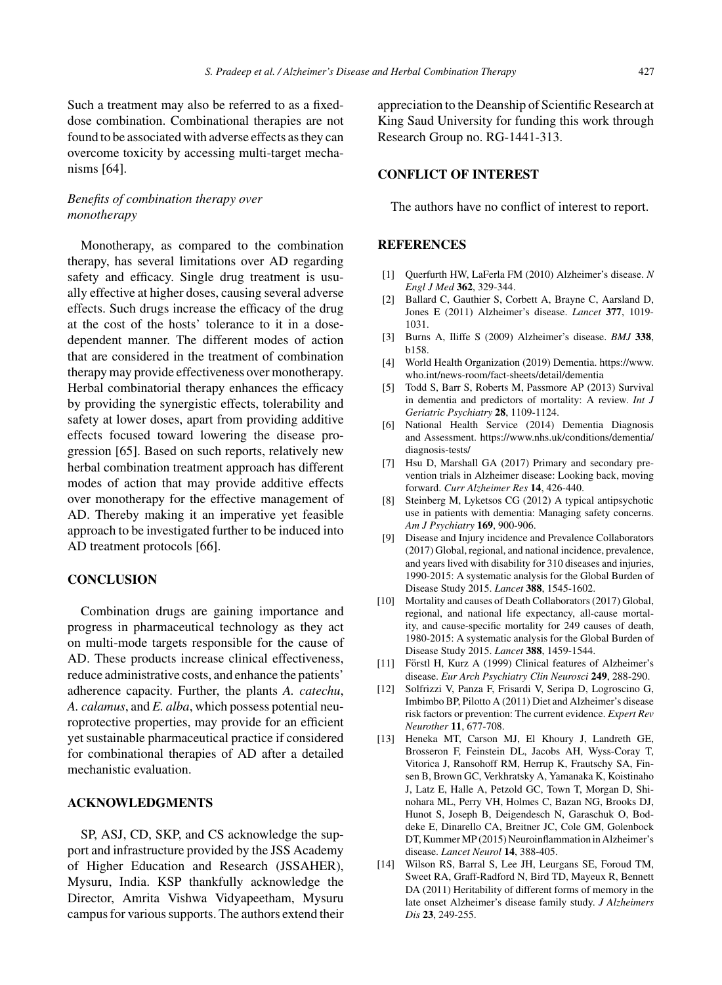Such a treatment may also be referred to as a fixeddose combination. Combinational therapies are not found to be associated with adverse effects as they can overcome toxicity by accessing multi-target mechanisms [64].

# *Benefits of combination therapy over monotherapy*

Monotherapy, as compared to the combination therapy, has several limitations over AD regarding safety and efficacy. Single drug treatment is usually effective at higher doses, causing several adverse effects. Such drugs increase the efficacy of the drug at the cost of the hosts' tolerance to it in a dosedependent manner. The different modes of action that are considered in the treatment of combination therapy may provide effectiveness over monotherapy. Herbal combinatorial therapy enhances the efficacy by providing the synergistic effects, tolerability and safety at lower doses, apart from providing additive effects focused toward lowering the disease progression [65]. Based on such reports, relatively new herbal combination treatment approach has different modes of action that may provide additive effects over monotherapy for the effective management of AD. Thereby making it an imperative yet feasible approach to be investigated further to be induced into AD treatment protocols [66].

#### **CONCLUSION**

Combination drugs are gaining importance and progress in pharmaceutical technology as they act on multi-mode targets responsible for the cause of AD. These products increase clinical effectiveness, reduce administrative costs, and enhance the patients' adherence capacity. Further, the plants *A. catechu*, *A. calamus*, and *E. alba*, which possess potential neuroprotective properties, may provide for an efficient yet sustainable pharmaceutical practice if considered for combinational therapies of AD after a detailed mechanistic evaluation.

# **ACKNOWLEDGMENTS**

SP, ASJ, CD, SKP, and CS acknowledge the support and infrastructure provided by the JSS Academy of Higher Education and Research (JSSAHER), Mysuru, India. KSP thankfully acknowledge the Director, Amrita Vishwa Vidyapeetham, Mysuru campus for various supports. The authors extend their appreciation to the Deanship of Scientific Research at King Saud University for funding this work through Research Group no. RG-1441-313.

#### **CONFLICT OF INTEREST**

The authors have no conflict of interest to report.

## **REFERENCES**

- [1] Querfurth HW, LaFerla FM (2010) Alzheimer's disease. *N Engl J Med* **362**, 329-344.
- [2] Ballard C, Gauthier S, Corbett A, Brayne C, Aarsland D, Jones E (2011) Alzheimer's disease. *Lancet* **377**, 1019- 1031.
- [3] Burns A, Iliffe S (2009) Alzheimer's disease. *BMJ* **338**, b158.
- [4] World Health Organization (2019) Dementia. [https://www.](https://www.who.int/news-room/fact-sheets/detail/dementia) who.int/news-room/fact-sheets/detail/dementia
- [5] Todd S, Barr S, Roberts M, Passmore AP (2013) Survival in dementia and predictors of mortality: A review. *Int J Geriatric Psychiatry* **28**, 1109-1124.
- [6] National Health Service (2014) Dementia Diagnosis and Assessment. [https://www.nhs.uk/conditions/dementia/](https://www.nhs.uk/conditions/dementia/diagnosis-tests/) diagnosis-tests/
- [7] Hsu D, Marshall GA (2017) Primary and secondary prevention trials in Alzheimer disease: Looking back, moving forward. *Curr Alzheimer Res* **14**, 426-440.
- [8] Steinberg M, Lyketsos CG (2012) A typical antipsychotic use in patients with dementia: Managing safety concerns. *Am J Psychiatry* **169**, 900-906.
- [9] Disease and Injury incidence and Prevalence Collaborators (2017) Global, regional, and national incidence, prevalence, and years lived with disability for 310 diseases and injuries, 1990-2015: A systematic analysis for the Global Burden of Disease Study 2015. *Lancet* **388**, 1545-1602.
- [10] Mortality and causes of Death Collaborators (2017) Global, regional, and national life expectancy, all-cause mortality, and cause-specific mortality for 249 causes of death, 1980-2015: A systematic analysis for the Global Burden of Disease Study 2015. *Lancet* **388**, 1459-1544.
- [11] Förstl H, Kurz A (1999) Clinical features of Alzheimer's disease. *Eur Arch Psychiatry Clin Neurosci* **249**, 288-290.
- [12] Solfrizzi V, Panza F, Frisardi V, Seripa D, Logroscino G, Imbimbo BP, Pilotto A (2011) Diet and Alzheimer's disease risk factors or prevention: The current evidence. *Expert Rev Neurother* **11**, 677-708.
- [13] Heneka MT, Carson MJ, El Khoury J, Landreth GE, Brosseron F, Feinstein DL, Jacobs AH, Wyss-Coray T, Vitorica J, Ransohoff RM, Herrup K, Frautschy SA, Finsen B, Brown GC, Verkhratsky A, Yamanaka K, Koistinaho J, Latz E, Halle A, Petzold GC, Town T, Morgan D, Shinohara ML, Perry VH, Holmes C, Bazan NG, Brooks DJ, Hunot S, Joseph B, Deigendesch N, Garaschuk O, Boddeke E, Dinarello CA, Breitner JC, Cole GM, Golenbock DT, Kummer MP (2015) Neuroinflammation in Alzheimer's disease. *Lancet Neurol* **14**, 388-405.
- [14] Wilson RS, Barral S, Lee JH, Leurgans SE, Foroud TM, Sweet RA, Graff-Radford N, Bird TD, Mayeux R, Bennett DA (2011) Heritability of different forms of memory in the late onset Alzheimer's disease family study. *J Alzheimers Dis* **23**, 249-255.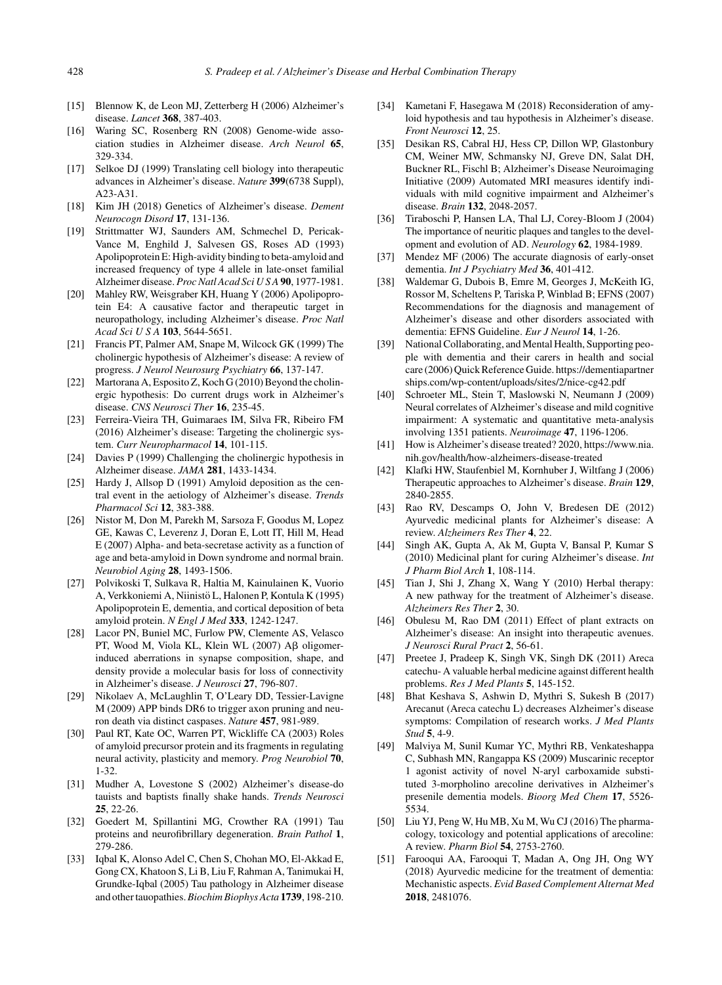- [15] Blennow K, de Leon MJ, Zetterberg H (2006) Alzheimer's disease. *Lancet* **368**, 387-403.
- [16] Waring SC, Rosenberg RN (2008) Genome-wide association studies in Alzheimer disease. *Arch Neurol* **65**, 329-334.
- [17] Selkoe DJ (1999) Translating cell biology into therapeutic advances in Alzheimer's disease. *Nature* **399**(6738 Suppl), A23-A31.
- [18] Kim JH (2018) Genetics of Alzheimer's disease. *Dement Neurocogn Disord* **17**, 131-136.
- [19] Strittmatter WJ, Saunders AM, Schmechel D, Pericak-Vance M, Enghild J, Salvesen GS, Roses AD (1993) Apolipoprotein E: High-avidity binding to beta-amyloid and increased frequency of type 4 allele in late-onset familial Alzheimer disease. *Proc Natl Acad Sci U S A* **90**, 1977-1981.
- [20] Mahley RW, Weisgraber KH, Huang Y (2006) Apolipoprotein E4: A causative factor and therapeutic target in neuropathology, including Alzheimer's disease. *Proc Natl Acad SciUSA* **103**, 5644-5651.
- [21] Francis PT, Palmer AM, Snape M, Wilcock GK (1999) The cholinergic hypothesis of Alzheimer's disease: A review of progress. *J Neurol Neurosurg Psychiatry* **66**, 137-147.
- [22] Martorana A, Esposito Z, Koch G (2010) Beyond the cholinergic hypothesis: Do current drugs work in Alzheimer's disease. *CNS Neurosci Ther* **16**, 235-45.
- [23] Ferreira-Vieira TH, Guimaraes IM, Silva FR, Ribeiro FM (2016) Alzheimer's disease: Targeting the cholinergic system. *Curr Neuropharmacol* **14**, 101-115.
- [24] Davies P (1999) Challenging the cholinergic hypothesis in Alzheimer disease. *JAMA* **281**, 1433-1434.
- [25] Hardy J, Allsop D (1991) Amyloid deposition as the central event in the aetiology of Alzheimer's disease. *Trends Pharmacol Sci* **12**, 383-388.
- [26] Nistor M, Don M, Parekh M, Sarsoza F, Goodus M, Lopez GE, Kawas C, Leverenz J, Doran E, Lott IT, Hill M, Head E (2007) Alpha- and beta-secretase activity as a function of age and beta-amyloid in Down syndrome and normal brain. *Neurobiol Aging* **28**, 1493-1506.
- [27] Polvikoski T, Sulkava R, Haltia M, Kainulainen K, Vuorio A, Verkkoniemi A, Niinistö L, Halonen P, Kontula K (1995) Apolipoprotein E, dementia, and cortical deposition of beta amyloid protein. *N Engl J Med* **333**, 1242-1247.
- [28] Lacor PN, Buniel MC, Furlow PW, Clemente AS, Velasco PT, Wood M, Viola KL, Klein WL (2007) Aß oligomerinduced aberrations in synapse composition, shape, and density provide a molecular basis for loss of connectivity in Alzheimer's disease. *J Neurosci* **27**, 796-807.
- [29] Nikolaev A, McLaughlin T, O'Leary DD, Tessier-Lavigne M (2009) APP binds DR6 to trigger axon pruning and neuron death via distinct caspases. *Nature* **457**, 981-989.
- [30] Paul RT, Kate OC, Warren PT, Wickliffe CA (2003) Roles of amyloid precursor protein and its fragments in regulating neural activity, plasticity and memory. *Prog Neurobiol* **70**, 1-32.
- [31] Mudher A, Lovestone S (2002) Alzheimer's disease-do tauists and baptists finally shake hands. *Trends Neurosci* **25**, 22-26.
- [32] Goedert M, Spillantini MG, Crowther RA (1991) Tau proteins and neurofibrillary degeneration. *Brain Pathol* **1**, 279-286.
- [33] Iqbal K, Alonso Adel C, Chen S, Chohan MO, El-Akkad E, Gong CX, Khatoon S, Li B, Liu F, Rahman A, Tanimukai H, Grundke-Iqbal (2005) Tau pathology in Alzheimer disease and other tauopathies.*Biochim Biophys Acta* **1739**, 198-210.
- [34] Kametani F, Hasegawa M (2018) Reconsideration of amyloid hypothesis and tau hypothesis in Alzheimer's disease. *Front Neurosci* **12**, 25.
- [35] Desikan RS, Cabral HJ, Hess CP, Dillon WP, Glastonbury CM, Weiner MW, Schmansky NJ, Greve DN, Salat DH, Buckner RL, Fischl B; Alzheimer's Disease Neuroimaging Initiative (2009) Automated MRI measures identify individuals with mild cognitive impairment and Alzheimer's disease. *Brain* **132**, 2048-2057.
- [36] Tiraboschi P, Hansen LA, Thal LJ, Corey-Bloom J (2004) The importance of neuritic plaques and tangles to the development and evolution of AD. *Neurology* **62**, 1984-1989.
- [37] Mendez MF (2006) The accurate diagnosis of early-onset dementia. *Int J Psychiatry Med* **36**, 401-412.
- [38] Waldemar G, Dubois B, Emre M, Georges J, McKeith IG, Rossor M, Scheltens P, Tariska P, Winblad B; EFNS (2007) Recommendations for the diagnosis and management of Alzheimer's disease and other disorders associated with dementia: EFNS Guideline. *Eur J Neurol* **14**, 1-26.
- [39] National Collaborating, and Mental Health, Supporting people with dementia and their carers in health and social care (2006) Quick Reference Guide. [https://dementiapartner](https://dementiapartnerships.com/wp-content/uploads/sites/2/nice-cg42.pdf) ships.com/wp-content/uploads/sites/2/nice-cg42.pdf
- [40] Schroeter ML, Stein T, Maslowski N, Neumann J (2009) Neural correlates of Alzheimer's disease and mild cognitive impairment: A systematic and quantitative meta-analysis involving 1351 patients. *Neuroimage* **47**, 1196-1206.
- [41] How is Alzheimer's disease treated? 2020, [https://www.nia.](https://www.nia.nih.gov/health/how-alzheimers-disease-treated) nih.gov/health/how-alzheimers-disease-treated
- [42] Klafki HW, Staufenbiel M, Kornhuber J, Wiltfang J (2006) Therapeutic approaches to Alzheimer's disease. *Brain* **129**, 2840-2855.
- [43] Rao RV, Descamps O, John V, Bredesen DE (2012) Ayurvedic medicinal plants for Alzheimer's disease: A review. *Alzheimers Res Ther* **4**, 22.
- [44] Singh AK, Gupta A, Ak M, Gupta V, Bansal P, Kumar S (2010) Medicinal plant for curing Alzheimer's disease. *Int J Pharm Biol Arch* **1**, 108-114.
- [45] Tian J, Shi J, Zhang X, Wang Y (2010) Herbal therapy: A new pathway for the treatment of Alzheimer's disease. *Alzheimers Res Ther* **2**, 30.
- [46] Obulesu M, Rao DM (2011) Effect of plant extracts on Alzheimer's disease: An insight into therapeutic avenues. *J Neurosci Rural Pract* **2**, 56-61.
- [47] Preetee J, Pradeep K, Singh VK, Singh DK (2011) Areca catechu- A valuable herbal medicine against different health problems. *Res J Med Plants* **5**, 145-152.
- [48] Bhat Keshava S, Ashwin D, Mythri S, Sukesh B (2017) Arecanut (Areca catechu L) decreases Alzheimer's disease symptoms: Compilation of research works. *J Med Plants Stud* **5**, 4-9.
- [49] Malviya M, Sunil Kumar YC, Mythri RB, Venkateshappa C, Subhash MN, Rangappa KS (2009) Muscarinic receptor 1 agonist activity of novel N-aryl carboxamide substituted 3-morpholino arecoline derivatives in Alzheimer's presenile dementia models. *Bioorg Med Chem* **17**, 5526- 5534.
- [50] Liu YJ, Peng W, Hu MB, Xu M, Wu CJ (2016) The pharmacology, toxicology and potential applications of arecoline: A review. *Pharm Biol* **54**, 2753-2760.
- [51] Farooqui AA, Farooqui T, Madan A, Ong JH, Ong WY (2018) Ayurvedic medicine for the treatment of dementia: Mechanistic aspects. *Evid Based Complement Alternat Med* **2018**, 2481076.